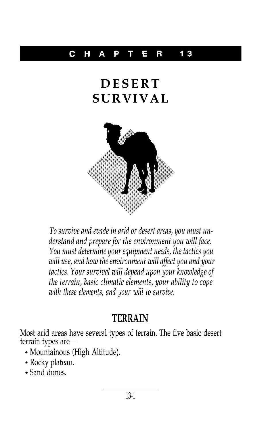#### C HAP T E R **13**

# **DESERT SURVIV AL**



To survive and evade in arid or desert areas, you must understand and prepare for the environment you will face. You must determine your equipment needs, the tactics you will use, and how the environment will affect you and your tactics. Your survival will depend upon your knowledge of the terrain, basic climatic elements, your ability to cope with these elements, and your will to survive.

#### **TERRAIN**

Most arid areas have several types of terrain. The five basic desert terrain types are-

- Mountainous (High Altitude).
- .Rocky plateau.
- .Sand dunes.